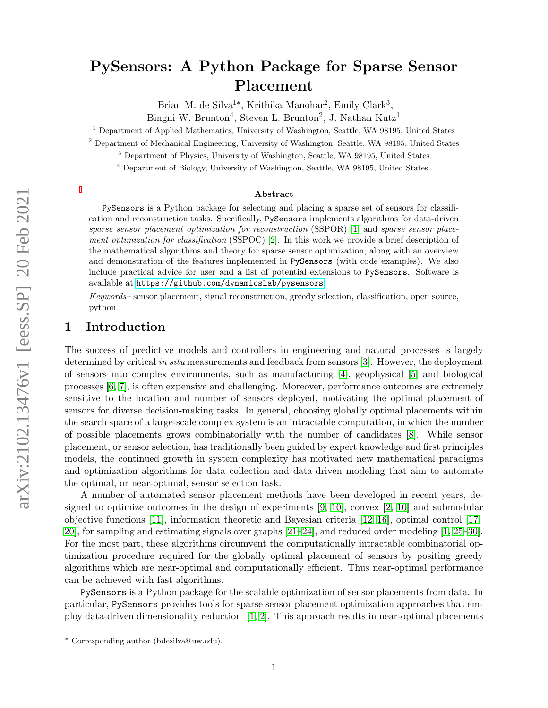# PySensors: A Python Package for Sparse Sensor Placement

Brian M. de Silva<sup>1\*</sup>, Krithika Manohar<sup>2</sup>, Emily Clark<sup>3</sup>,

Bingni W. Brunton<sup>4</sup>, Steven L. Brunton<sup>2</sup>, J. Nathan Kutz<sup>1</sup>

<sup>1</sup> Department of Applied Mathematics, University of Washington, Seattle, WA 98195, United States

<sup>2</sup> Department of Mechanical Engineering, University of Washington, Seattle, WA 98195, United States

<sup>3</sup> Department of Physics, University of Washington, Seattle, WA 98195, United States

<sup>4</sup> Department of Biology, University of Washington, Seattle, WA 98195, United States

#### Abstract

PySensors is a Python package for selecting and placing a sparse set of sensors for classification and reconstruction tasks. Specifically, PySensors implements algorithms for data-driven sparse sensor placement optimization for reconstruction (SSPOR) [\[1\]](#page-10-0) and sparse sensor placement optimization for classification (SSPOC) [\[2\]](#page-10-1). In this work we provide a brief description of the mathematical algorithms and theory for sparse sensor optimization, along with an overview and demonstration of the features implemented in PySensors (with code examples). We also include practical advice for user and a list of potential extensions to PySensors. Software is available at <https://github.com/dynamicslab/pysensors>.

Keywords– sensor placement, signal reconstruction, greedy selection, classification, open source, python

# 1 Introduction

The success of predictive models and controllers in engineering and natural processes is largely determined by critical in situ measurements and feedback from sensors [\[3\]](#page-10-2). However, the deployment of sensors into complex environments, such as manufacturing [\[4\]](#page-10-3), geophysical [\[5\]](#page-10-4) and biological processes [\[6,](#page-10-5) [7\]](#page-10-6), is often expensive and challenging. Moreover, performance outcomes are extremely sensitive to the location and number of sensors deployed, motivating the optimal placement of sensors for diverse decision-making tasks. In general, choosing globally optimal placements within the search space of a large-scale complex system is an intractable computation, in which the number of possible placements grows combinatorially with the number of candidates [\[8\]](#page-10-7). While sensor placement, or sensor selection, has traditionally been guided by expert knowledge and first principles models, the continued growth in system complexity has motivated new mathematical paradigms and optimization algorithms for data collection and data-driven modeling that aim to automate the optimal, or near-optimal, sensor selection task.

A number of automated sensor placement methods have been developed in recent years, designed to optimize outcomes in the design of experiments  $[9, 10]$  $[9, 10]$ , convex  $[2, 10]$  $[2, 10]$  and submodular objective functions [\[11\]](#page-10-10), information theoretic and Bayesian criteria [\[12–](#page-10-11)[16\]](#page-10-12), optimal control [\[17–](#page-10-13) [20\]](#page-10-14), for sampling and estimating signals over graphs [\[21–](#page-11-0)[24\]](#page-11-1), and reduced order modeling [\[1,](#page-10-0) [25–](#page-11-2)[30\]](#page-11-3). For the most part, these algorithms circumvent the computationally intractable combinatorial optimization procedure required for the globally optimal placement of sensors by positing greedy algorithms which are near-optimal and computationally efficient. Thus near-optimal performance can be achieved with fast algorithms.

PySensors is a Python package for the scalable optimization of sensor placements from data. In particular, PySensors provides tools for sparse sensor placement optimization approaches that employ data-driven dimensionality reduction [\[1,](#page-10-0) [2\]](#page-10-1). This approach results in near-optimal placements

<sup>∗</sup> Corresponding author (bdesilva@uw.edu).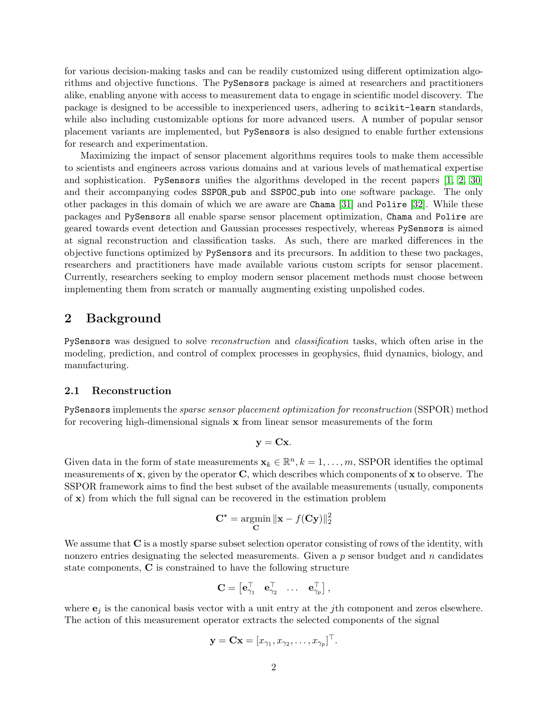for various decision-making tasks and can be readily customized using different optimization algorithms and objective functions. The PySensors package is aimed at researchers and practitioners alike, enabling anyone with access to measurement data to engage in scientific model discovery. The package is designed to be accessible to inexperienced users, adhering to scikit-learn standards, while also including customizable options for more advanced users. A number of popular sensor placement variants are implemented, but PySensors is also designed to enable further extensions for research and experimentation.

Maximizing the impact of sensor placement algorithms requires tools to make them accessible to scientists and engineers across various domains and at various levels of mathematical expertise and sophistication. PySensors unifies the algorithms developed in the recent papers [\[1,](#page-10-0) [2,](#page-10-1) [30\]](#page-11-3) and their accompanying codes SSPOR pub and SSPOC pub into one software package. The only other packages in this domain of which we are aware are Chama [\[31\]](#page-11-4) and Polire [\[32\]](#page-11-5). While these packages and PySensors all enable sparse sensor placement optimization, Chama and Polire are geared towards event detection and Gaussian processes respectively, whereas PySensors is aimed at signal reconstruction and classification tasks. As such, there are marked differences in the objective functions optimized by PySensors and its precursors. In addition to these two packages, researchers and practitioners have made available various custom scripts for sensor placement. Currently, researchers seeking to employ modern sensor placement methods must choose between implementing them from scratch or manually augmenting existing unpolished codes.

# 2 Background

PySensors was designed to solve reconstruction and classification tasks, which often arise in the modeling, prediction, and control of complex processes in geophysics, fluid dynamics, biology, and manufacturing.

#### 2.1 Reconstruction

PySensors implements the sparse sensor placement optimization for reconstruction (SSPOR) method for recovering high-dimensional signals x from linear sensor measurements of the form

$$
\mathbf{y} = \mathbf{C}\mathbf{x}.
$$

Given data in the form of state measurements  $\mathbf{x}_k \in \mathbb{R}^n, k = 1, \ldots, m$ , SSPOR identifies the optimal measurements of  $x$ , given by the operator  $C$ , which describes which components of  $x$  to observe. The SSPOR framework aims to find the best subset of the available measurements (usually, components of x) from which the full signal can be recovered in the estimation problem

$$
\mathbf{C}^* = \underset{\mathbf{C}}{\text{argmin}} \|\mathbf{x} - f(\mathbf{C}\mathbf{y})\|_2^2
$$

We assume that  $C$  is a mostly sparse subset selection operator consisting of rows of the identity, with nonzero entries designating the selected measurements. Given a  $p$  sensor budget and  $n$  candidates state components, C is constrained to have the following structure

$$
\mathbf{C} = \begin{bmatrix} \mathbf{e}_{\gamma_1}^\top & \mathbf{e}_{\gamma_2}^\top & \dots & \mathbf{e}_{\gamma_p}^\top \end{bmatrix},
$$

where  $\mathbf{e}_i$  is the canonical basis vector with a unit entry at the *j*th component and zeros elsewhere. The action of this measurement operator extracts the selected components of the signal

$$
\mathbf{y} = \mathbf{C}\mathbf{x} = [x_{\gamma_1}, x_{\gamma_2}, \dots, x_{\gamma_p}]^{\top}.
$$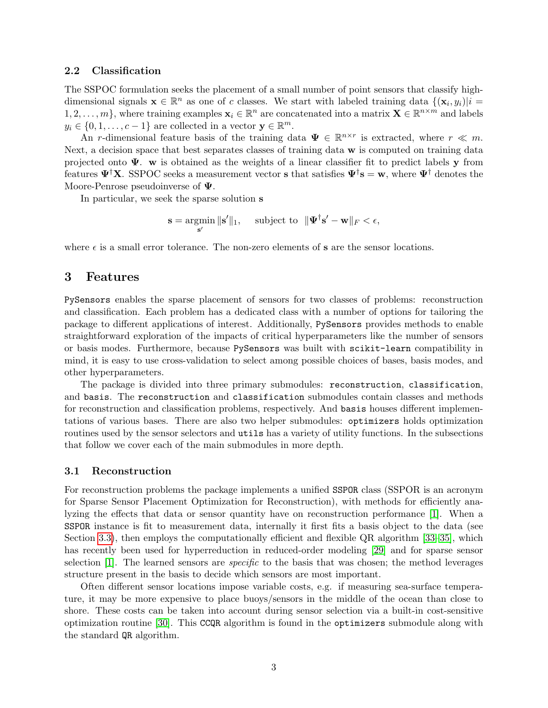## 2.2 Classification

The SSPOC formulation seeks the placement of a small number of point sensors that classify highdimensional signals  $\mathbf{x} \in \mathbb{R}^n$  as one of c classes. We start with labeled training data  $\{(\mathbf{x}_i, y_i)|i =$  $1, 2, \ldots, m$ , where training examples  $\mathbf{x}_i \in \mathbb{R}^n$  are concatenated into a matrix  $\mathbf{X} \in \mathbb{R}^{n \times m}$  and labels  $y_i \in \{0, 1, \ldots, c-1\}$  are collected in a vector  $\mathbf{y} \in \mathbb{R}^m$ .

An r-dimensional feature basis of the training data  $\Psi \in \mathbb{R}^{n \times r}$  is extracted, where  $r \ll m$ . Next, a decision space that best separates classes of training data w is computed on training data projected onto  $\Psi$ . w is obtained as the weights of a linear classifier fit to predict labels y from features  $\Psi^{\dagger}X$ . SSPOC seeks a measurement vector **s** that satisfies  $\Psi^{\dagger}s = w$ , where  $\Psi^{\dagger}$  denotes the Moore-Penrose pseudoinverse of Ψ.

In particular, we seek the sparse solution s

$$
\mathbf{s} = \operatorname*{argmin}_{\mathbf{s}'} \|\mathbf{s}'\|_1, \quad \text{ subject to } \|\mathbf{\Psi}^{\dagger}\mathbf{s}' - \mathbf{w}\|_F < \epsilon,
$$

where  $\epsilon$  is a small error tolerance. The non-zero elements of **s** are the sensor locations.

## 3 Features

PySensors enables the sparse placement of sensors for two classes of problems: reconstruction and classification. Each problem has a dedicated class with a number of options for tailoring the package to different applications of interest. Additionally, PySensors provides methods to enable straightforward exploration of the impacts of critical hyperparameters like the number of sensors or basis modes. Furthermore, because PySensors was built with scikit-learn compatibility in mind, it is easy to use cross-validation to select among possible choices of bases, basis modes, and other hyperparameters.

The package is divided into three primary submodules: reconstruction, classification, and basis. The reconstruction and classification submodules contain classes and methods for reconstruction and classification problems, respectively. And basis houses different implementations of various bases. There are also two helper submodules: optimizers holds optimization routines used by the sensor selectors and utils has a variety of utility functions. In the subsections that follow we cover each of the main submodules in more depth.

#### 3.1 Reconstruction

For reconstruction problems the package implements a unified SSPOR class (SSPOR is an acronym for Sparse Sensor Placement Optimization for Reconstruction), with methods for efficiently analyzing the effects that data or sensor quantity have on reconstruction performance [\[1\]](#page-10-0). When a SSPOR instance is fit to measurement data, internally it first fits a basis object to the data (see Section [3.3\)](#page-3-0), then employs the computationally efficient and flexible QR algorithm [\[33–](#page-11-6)[35\]](#page-11-7), which has recently been used for hyperreduction in reduced-order modeling [\[29\]](#page-11-8) and for sparse sensor selection  $[1]$ . The learned sensors are *specific* to the basis that was chosen; the method leverages structure present in the basis to decide which sensors are most important.

Often different sensor locations impose variable costs, e.g. if measuring sea-surface temperature, it may be more expensive to place buoys/sensors in the middle of the ocean than close to shore. These costs can be taken into account during sensor selection via a built-in cost-sensitive optimization routine [\[30\]](#page-11-3). This CCQR algorithm is found in the optimizers submodule along with the standard QR algorithm.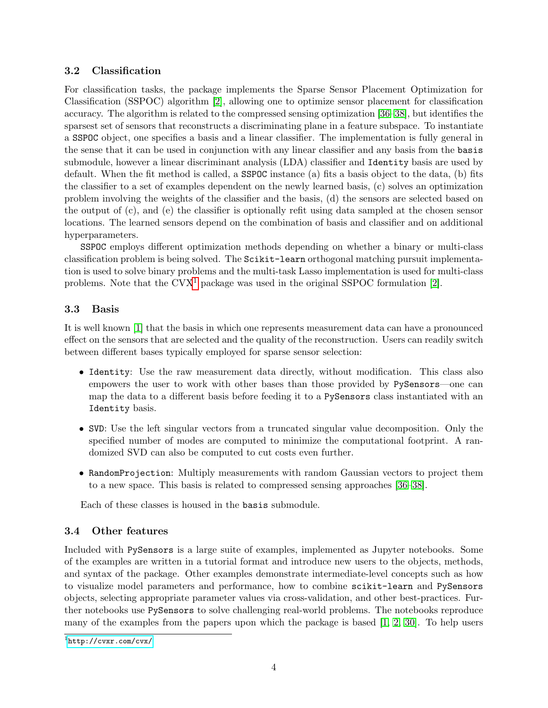# 3.2 Classification

For classification tasks, the package implements the Sparse Sensor Placement Optimization for Classification (SSPOC) algorithm [\[2\]](#page-10-1), allowing one to optimize sensor placement for classification accuracy. The algorithm is related to the compressed sensing optimization [\[36–](#page-11-9)[38\]](#page-11-10), but identifies the sparsest set of sensors that reconstructs a discriminating plane in a feature subspace. To instantiate a SSPOC object, one specifies a basis and a linear classifier. The implementation is fully general in the sense that it can be used in conjunction with any linear classifier and any basis from the basis submodule, however a linear discriminant analysis (LDA) classifier and Identity basis are used by default. When the fit method is called, a SSPOC instance (a) fits a basis object to the data, (b) fits the classifier to a set of examples dependent on the newly learned basis, (c) solves an optimization problem involving the weights of the classifier and the basis, (d) the sensors are selected based on the output of (c), and (e) the classifier is optionally refit using data sampled at the chosen sensor locations. The learned sensors depend on the combination of basis and classifier and on additional hyperparameters.

SSPOC employs different optimization methods depending on whether a binary or multi-class classification problem is being solved. The Scikit-learn orthogonal matching pursuit implementation is used to solve binary problems and the multi-task Lasso implementation is used for multi-class problems. Note that the  $Cvx<sup>1</sup>$  $Cvx<sup>1</sup>$  $Cvx<sup>1</sup>$  package was used in the original SSPOC formulation [\[2\]](#page-10-1).

# <span id="page-3-0"></span>3.3 Basis

It is well known [\[1\]](#page-10-0) that the basis in which one represents measurement data can have a pronounced effect on the sensors that are selected and the quality of the reconstruction. Users can readily switch between different bases typically employed for sparse sensor selection:

- Identity: Use the raw measurement data directly, without modification. This class also empowers the user to work with other bases than those provided by PySensors—one can map the data to a different basis before feeding it to a PySensors class instantiated with an Identity basis.
- SVD: Use the left singular vectors from a truncated singular value decomposition. Only the specified number of modes are computed to minimize the computational footprint. A randomized SVD can also be computed to cut costs even further.
- RandomProjection: Multiply measurements with random Gaussian vectors to project them to a new space. This basis is related to compressed sensing approaches [\[36–](#page-11-9)[38\]](#page-11-10).

Each of these classes is housed in the basis submodule.

# 3.4 Other features

Included with PySensors is a large suite of examples, implemented as Jupyter notebooks. Some of the examples are written in a tutorial format and introduce new users to the objects, methods, and syntax of the package. Other examples demonstrate intermediate-level concepts such as how to visualize model parameters and performance, how to combine scikit-learn and PySensors objects, selecting appropriate parameter values via cross-validation, and other best-practices. Further notebooks use PySensors to solve challenging real-world problems. The notebooks reproduce many of the examples from the papers upon which the package is based [\[1,](#page-10-0) [2,](#page-10-1) [30\]](#page-11-3). To help users

<span id="page-3-1"></span><sup>1</sup> <http://cvxr.com/cvx/>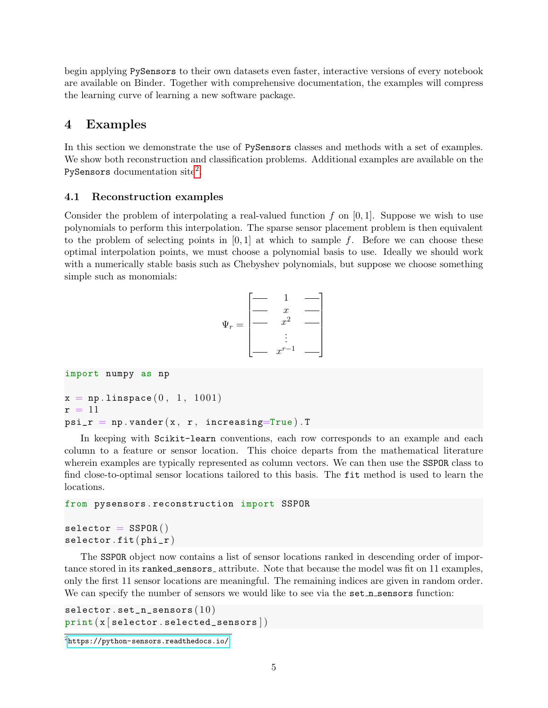begin applying PySensors to their own datasets even faster, interactive versions of every notebook are available on Binder. Together with comprehensive documentation, the examples will compress the learning curve of learning a new software package.

# 4 Examples

In this section we demonstrate the use of PySensors classes and methods with a set of examples. We show both reconstruction and classification problems. Additional examples are available on the PySensors documentation site<sup>[2](#page-4-0)</sup>.

## 4.1 Reconstruction examples

Consider the problem of interpolating a real-valued function f on  $[0, 1]$ . Suppose we wish to use polynomials to perform this interpolation. The sparse sensor placement problem is then equivalent to the problem of selecting points in  $[0, 1]$  at which to sample f. Before we can choose these optimal interpolation points, we must choose a polynomial basis to use. Ideally we should work with a numerically stable basis such as Chebyshev polynomials, but suppose we choose something simple such as monomials:

$$
\Psi_r = \begin{bmatrix} - & 1 & - \\ - & x & - \\ - & x^2 & - \\ \vdots & \vdots & \ddots \end{bmatrix}
$$

```
import numpy as np
x = np. linspace (0, 1, 1001)r = 11psi_r = np.vander(x, r, increasing=True). T
```
In keeping with Scikit-learn conventions, each row corresponds to an example and each column to a feature or sensor location. This choice departs from the mathematical literature wherein examples are typically represented as column vectors. We can then use the SSPOR class to find close-to-optimal sensor locations tailored to this basis. The fit method is used to learn the locations.

```
from pysensors . reconstruction import SSPOR
```

```
selector = SSPOR()selector.fit(phi_r)
```
The SSPOR object now contains a list of sensor locations ranked in descending order of importance stored in its ranked sensors attribute. Note that because the model was fit on 11 examples, only the first 11 sensor locations are meaningful. The remaining indices are given in random order. We can specify the number of sensors we would like to see via the set n sensors function:

```
selector.set_n\_sensors (10)print(x|selector.s elected_sensors|)
```
<span id="page-4-0"></span> $^{2}$ <https://python-sensors.readthedocs.io/>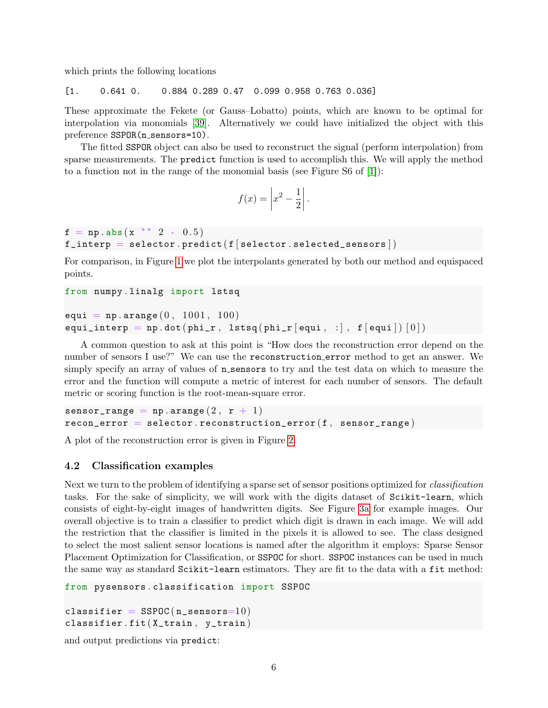which prints the following locations

[1. 0.641 0. 0.884 0.289 0.47 0.099 0.958 0.763 0.036]

These approximate the Fekete (or Gauss–Lobatto) points, which are known to be optimal for interpolation via monomials [\[39\]](#page-11-11). Alternatively we could have initialized the object with this preference SSPOR(n\_sensors=10).

The fitted SSPOR object can also be used to reconstruct the signal (perform interpolation) from sparse measurements. The predict function is used to accomplish this. We will apply the method to a function not in the range of the monomial basis (see Figure S6 of [\[1\]](#page-10-0)):

$$
f(x) = \left| x^2 - \frac{1}{2} \right|.
$$

 $f = np \cdot abs(x * * 2 - 0.5)$ f\_interp = selector.predict( $f[selector.setlected_sensors]$ )

For comparison, in Figure [1](#page-6-0) we plot the interpolants generated by both our method and equispaced points.

```
from numpy . linalg import lstsq
equi = np. arange (0, 1001, 100)equi_interp = np.dot(phi_r, 1stsq(phi_r[equi, :], f[equi] ) [0])
```
A common question to ask at this point is "How does the reconstruction error depend on the number of sensors I use?" We can use the reconstruction error method to get an answer. We simply specify an array of values of n\_sensors to try and the test data on which to measure the error and the function will compute a metric of interest for each number of sensors. The default metric or scoring function is the root-mean-square error.

```
sensor_range = np. arange (2, r + 1)recon\_error = selector.reconstruction\_error(f, sensor\_range)
```
A plot of the reconstruction error is given in Figure [2.](#page-7-0)

## 4.2 Classification examples

Next we turn to the problem of identifying a sparse set of sensor positions optimized for classification tasks. For the sake of simplicity, we will work with the digits dataset of Scikit-learn, which consists of eight-by-eight images of handwritten digits. See Figure [3a](#page-7-1) for example images. Our overall objective is to train a classifier to predict which digit is drawn in each image. We will add the restriction that the classifier is limited in the pixels it is allowed to see. The class designed to select the most salient sensor locations is named after the algorithm it employs: Sparse Sensor Placement Optimization for Classification, or SSPOC for short. SSPOC instances can be used in much the same way as standard Scikit-learn estimators. They are fit to the data with a fit method:

```
from pysensors . classification import SSPOC
```

```
classifier = SSPOC(n_sensors=10)classifier.fit (X_train, y_train)
```
and output predictions via predict: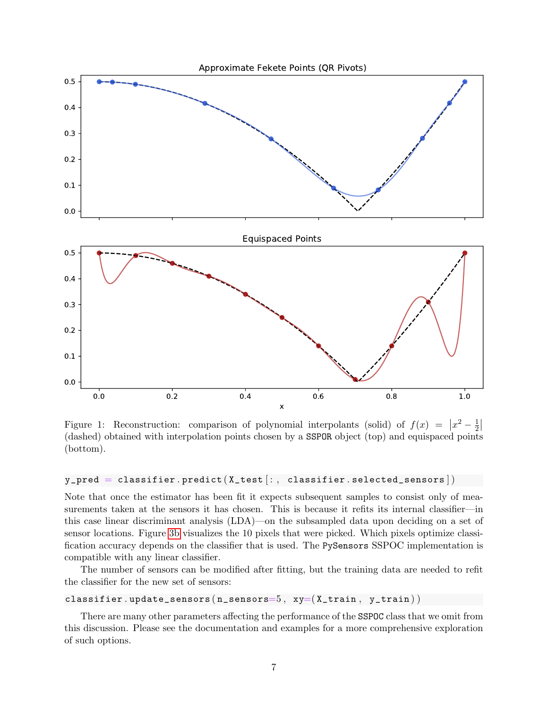<span id="page-6-0"></span>

Figure 1: Reconstruction: comparison of polynomial interpolants (solid) of  $f(x) = \left| x^2 - \frac{1}{2} \right|$  $rac{1}{2}$ (dashed) obtained with interpolation points chosen by a SSPOR object (top) and equispaced points (bottom).

## $y$  pred = classifier. predict ( $X$  test  $[:,$  classifier. selected sensors  $])$

Note that once the estimator has been fit it expects subsequent samples to consist only of measurements taken at the sensors it has chosen. This is because it refits its internal classifier—in this case linear discriminant analysis (LDA)—on the subsampled data upon deciding on a set of sensor locations. Figure [3b](#page-7-1) visualizes the 10 pixels that were picked. Which pixels optimize classification accuracy depends on the classifier that is used. The PySensors SSPOC implementation is compatible with any linear classifier.

The number of sensors can be modified after fitting, but the training data are needed to refit the classifier for the new set of sensors:

## classifier.update\_sensors  $(n\_sensors=5, xy=(X_train, y_train))$

There are many other parameters affecting the performance of the SSPOC class that we omit from this discussion. Please see the documentation and examples for a more comprehensive exploration of such options.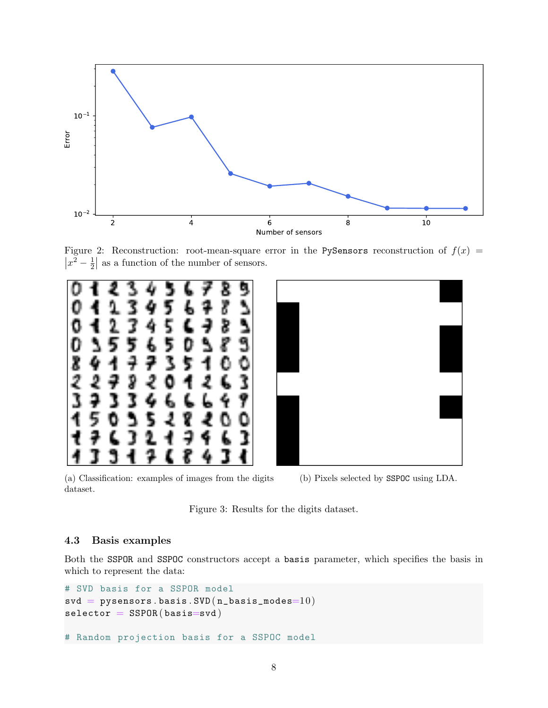<span id="page-7-0"></span>

Figure 2: Reconstruction: root-mean-square error in the PySensors reconstruction of  $f(x)$  =  $|x^2 - \frac{1}{2}|$  $\frac{1}{2}$  as a function of the number of sensors.

<span id="page-7-1"></span>



(a) Classification: examples of images from the digits dataset.

(b) Pixels selected by SSPOC using LDA.



## 4.3 Basis examples

Both the SSPOR and SSPOC constructors accept a basis parameter, which specifies the basis in which to represent the data:

```
# SVD basis for a SSPOR model
\texttt{svd} \ = \ \texttt{pysensors} \ . \ \texttt{basis} \ . \ \texttt{SVD} \big( \texttt{n\_basis\_modes=10} \big)selector = SSPOR(basis = svd)# Random projection basis for a SSPOC model
```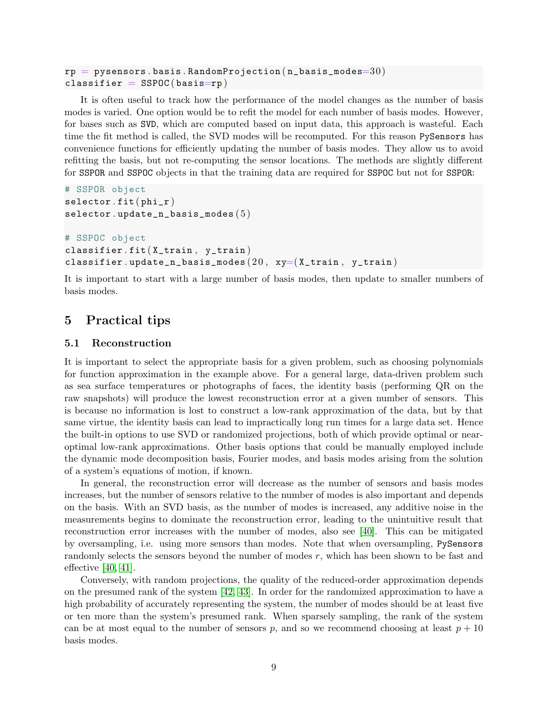```
\texttt{rp} = \texttt{pysensors}. basis. RandomProjection (\texttt{n\_basis\_modes}=30)classifier = SSPOC(basis=rp)
```
It is often useful to track how the performance of the model changes as the number of basis modes is varied. One option would be to refit the model for each number of basis modes. However, for bases such as SVD, which are computed based on input data, this approach is wasteful. Each time the fit method is called, the SVD modes will be recomputed. For this reason PySensors has convenience functions for efficiently updating the number of basis modes. They allow us to avoid refitting the basis, but not re-computing the sensor locations. The methods are slightly different for SSPOR and SSPOC objects in that the training data are required for SSPOC but not for SSPOR:

```
# SSPOR object
selector.fit(phi_r)selector.update\_n\_basis\_modes ( 5 )# SSPOC object
classifier.fit (X_train, y_train)
classifier.update_n_basis_modes (20, xy=(X_train, y_train)
```
It is important to start with a large number of basis modes, then update to smaller numbers of basis modes.

# 5 Practical tips

## 5.1 Reconstruction

It is important to select the appropriate basis for a given problem, such as choosing polynomials for function approximation in the example above. For a general large, data-driven problem such as sea surface temperatures or photographs of faces, the identity basis (performing QR on the raw snapshots) will produce the lowest reconstruction error at a given number of sensors. This is because no information is lost to construct a low-rank approximation of the data, but by that same virtue, the identity basis can lead to impractically long run times for a large data set. Hence the built-in options to use SVD or randomized projections, both of which provide optimal or nearoptimal low-rank approximations. Other basis options that could be manually employed include the dynamic mode decomposition basis, Fourier modes, and basis modes arising from the solution of a system's equations of motion, if known.

In general, the reconstruction error will decrease as the number of sensors and basis modes increases, but the number of sensors relative to the number of modes is also important and depends on the basis. With an SVD basis, as the number of modes is increased, any additive noise in the measurements begins to dominate the reconstruction error, leading to the unintuitive result that reconstruction error increases with the number of modes, also see [\[40\]](#page-11-12). This can be mitigated by oversampling, i.e. using more sensors than modes. Note that when oversampling, PySensors randomly selects the sensors beyond the number of modes  $r$ , which has been shown to be fast and effective [\[40,](#page-11-12) [41\]](#page-12-0).

Conversely, with random projections, the quality of the reduced-order approximation depends on the presumed rank of the system [\[42,](#page-12-1) [43\]](#page-12-2). In order for the randomized approximation to have a high probability of accurately representing the system, the number of modes should be at least five or ten more than the system's presumed rank. When sparsely sampling, the rank of the system can be at most equal to the number of sensors p, and so we recommend choosing at least  $p + 10$ basis modes.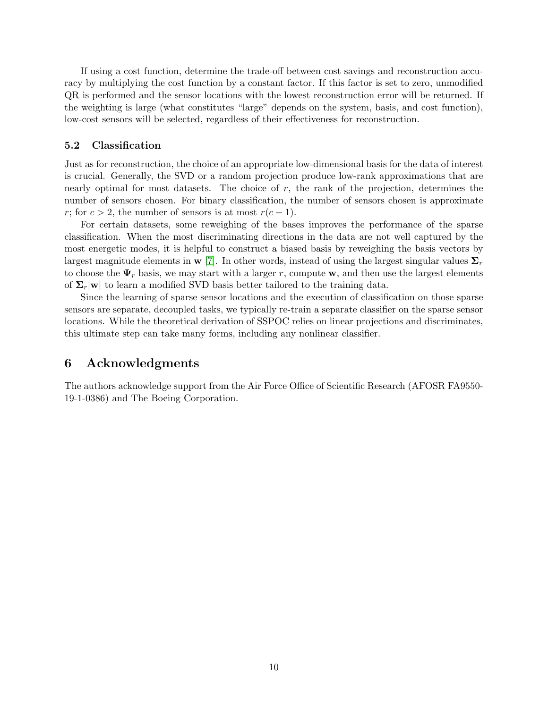If using a cost function, determine the trade-off between cost savings and reconstruction accuracy by multiplying the cost function by a constant factor. If this factor is set to zero, unmodified QR is performed and the sensor locations with the lowest reconstruction error will be returned. If the weighting is large (what constitutes "large" depends on the system, basis, and cost function), low-cost sensors will be selected, regardless of their effectiveness for reconstruction.

## 5.2 Classification

Just as for reconstruction, the choice of an appropriate low-dimensional basis for the data of interest is crucial. Generally, the SVD or a random projection produce low-rank approximations that are nearly optimal for most datasets. The choice of  $r$ , the rank of the projection, determines the number of sensors chosen. For binary classification, the number of sensors chosen is approximate r; for  $c > 2$ , the number of sensors is at most  $r(c-1)$ .

For certain datasets, some reweighing of the bases improves the performance of the sparse classification. When the most discriminating directions in the data are not well captured by the most energetic modes, it is helpful to construct a biased basis by reweighing the basis vectors by largest magnitude elements in  $\bf{w}$  [\[7\]](#page-10-6). In other words, instead of using the largest singular values  $\Sigma_r$ to choose the  $\Psi_r$  basis, we may start with a larger r, compute w, and then use the largest elements of  $\Sigma_r|\mathbf{w}|$  to learn a modified SVD basis better tailored to the training data.

Since the learning of sparse sensor locations and the execution of classification on those sparse sensors are separate, decoupled tasks, we typically re-train a separate classifier on the sparse sensor locations. While the theoretical derivation of SSPOC relies on linear projections and discriminates, this ultimate step can take many forms, including any nonlinear classifier.

# 6 Acknowledgments

The authors acknowledge support from the Air Force Office of Scientific Research (AFOSR FA9550- 19-1-0386) and The Boeing Corporation.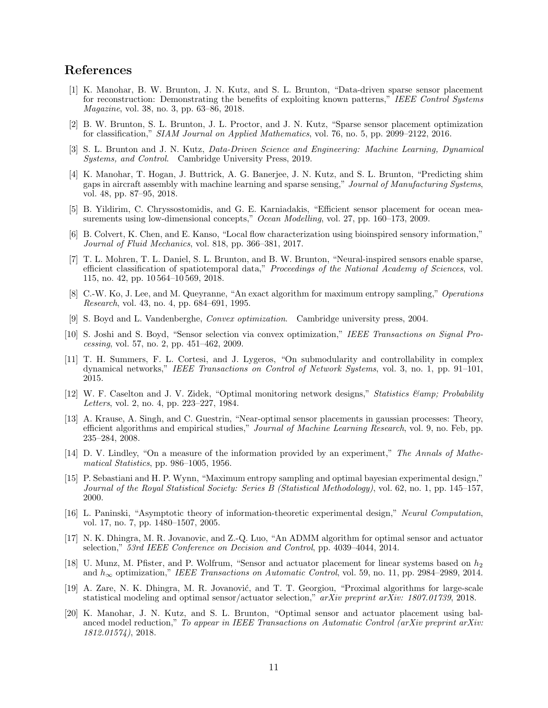# References

- <span id="page-10-0"></span>[1] K. Manohar, B. W. Brunton, J. N. Kutz, and S. L. Brunton, "Data-driven sparse sensor placement for reconstruction: Demonstrating the benefits of exploiting known patterns," IEEE Control Systems Magazine, vol. 38, no. 3, pp. 63–86, 2018.
- <span id="page-10-1"></span>[2] B. W. Brunton, S. L. Brunton, J. L. Proctor, and J. N. Kutz, "Sparse sensor placement optimization for classification," SIAM Journal on Applied Mathematics, vol. 76, no. 5, pp. 2099–2122, 2016.
- <span id="page-10-2"></span>[3] S. L. Brunton and J. N. Kutz, Data-Driven Science and Engineering: Machine Learning, Dynamical Systems, and Control. Cambridge University Press, 2019.
- <span id="page-10-3"></span>[4] K. Manohar, T. Hogan, J. Buttrick, A. G. Banerjee, J. N. Kutz, and S. L. Brunton, "Predicting shim gaps in aircraft assembly with machine learning and sparse sensing," Journal of Manufacturing Systems, vol. 48, pp. 87–95, 2018.
- <span id="page-10-4"></span>[5] B. Yildirim, C. Chryssostomidis, and G. E. Karniadakis, "Efficient sensor placement for ocean measurements using low-dimensional concepts," Ocean Modelling, vol. 27, pp. 160–173, 2009.
- <span id="page-10-5"></span>[6] B. Colvert, K. Chen, and E. Kanso, "Local flow characterization using bioinspired sensory information," Journal of Fluid Mechanics, vol. 818, pp. 366–381, 2017.
- <span id="page-10-6"></span>[7] T. L. Mohren, T. L. Daniel, S. L. Brunton, and B. W. Brunton, "Neural-inspired sensors enable sparse, efficient classification of spatiotemporal data," Proceedings of the National Academy of Sciences, vol. 115, no. 42, pp. 10 564–10 569, 2018.
- <span id="page-10-7"></span>[8] C.-W. Ko, J. Lee, and M. Queyranne, "An exact algorithm for maximum entropy sampling," Operations Research, vol. 43, no. 4, pp. 684–691, 1995.
- <span id="page-10-8"></span>[9] S. Boyd and L. Vandenberghe, Convex optimization. Cambridge university press, 2004.
- <span id="page-10-9"></span>[10] S. Joshi and S. Boyd, "Sensor selection via convex optimization," IEEE Transactions on Signal Processing, vol. 57, no. 2, pp. 451–462, 2009.
- <span id="page-10-10"></span>[11] T. H. Summers, F. L. Cortesi, and J. Lygeros, "On submodularity and controllability in complex dynamical networks," IEEE Transactions on Control of Network Systems, vol. 3, no. 1, pp. 91–101, 2015.
- <span id="page-10-11"></span>[12] W. F. Caselton and J. V. Zidek, "Optimal monitoring network designs," Statistics & amp; Probability Letters, vol. 2, no. 4, pp. 223–227, 1984.
- [13] A. Krause, A. Singh, and C. Guestrin, "Near-optimal sensor placements in gaussian processes: Theory, efficient algorithms and empirical studies," Journal of Machine Learning Research, vol. 9, no. Feb, pp. 235–284, 2008.
- [14] D. V. Lindley, "On a measure of the information provided by an experiment," The Annals of Mathematical Statistics, pp. 986–1005, 1956.
- [15] P. Sebastiani and H. P. Wynn, "Maximum entropy sampling and optimal bayesian experimental design," Journal of the Royal Statistical Society: Series B (Statistical Methodology), vol. 62, no. 1, pp. 145–157, 2000.
- <span id="page-10-12"></span>[16] L. Paninski, "Asymptotic theory of information-theoretic experimental design," Neural Computation, vol. 17, no. 7, pp. 1480–1507, 2005.
- <span id="page-10-13"></span>[17] N. K. Dhingra, M. R. Jovanovic, and Z.-Q. Luo, "An ADMM algorithm for optimal sensor and actuator selection," 53rd IEEE Conference on Decision and Control, pp. 4039–4044, 2014.
- [18] U. Munz, M. Pfister, and P. Wolfrum, "Sensor and actuator placement for linear systems based on  $h_2$ and  $h_{\infty}$  optimization," IEEE Transactions on Automatic Control, vol. 59, no. 11, pp. 2984–2989, 2014.
- [19] A. Zare, N. K. Dhingra, M. R. Jovanović, and T. T. Georgiou, "Proximal algorithms for large-scale statistical modeling and optimal sensor/actuator selection," arXiv preprint arXiv: 1807.01739, 2018.
- <span id="page-10-14"></span>[20] K. Manohar, J. N. Kutz, and S. L. Brunton, "Optimal sensor and actuator placement using balanced model reduction," To appear in IEEE Transactions on Automatic Control (arXiv preprint arXiv: 1812.01574), 2018.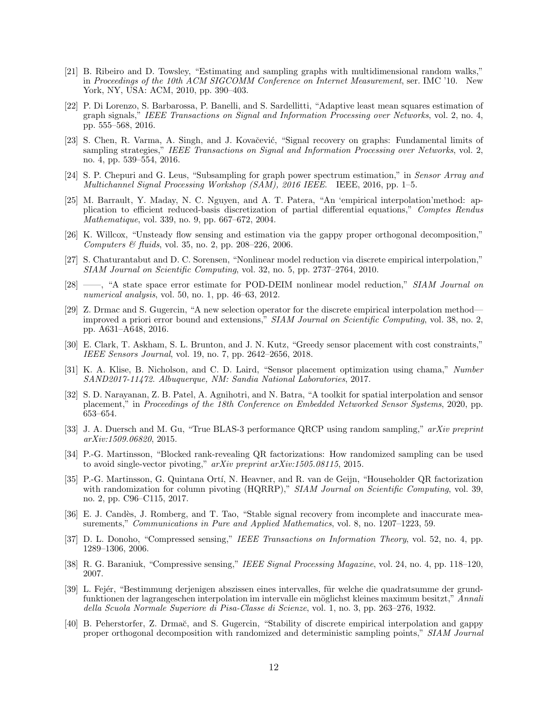- <span id="page-11-0"></span>[21] B. Ribeiro and D. Towsley, "Estimating and sampling graphs with multidimensional random walks," in Proceedings of the 10th ACM SIGCOMM Conference on Internet Measurement, ser. IMC '10. New York, NY, USA: ACM, 2010, pp. 390–403.
- [22] P. Di Lorenzo, S. Barbarossa, P. Banelli, and S. Sardellitti, "Adaptive least mean squares estimation of graph signals," IEEE Transactions on Signal and Information Processing over Networks, vol. 2, no. 4, pp. 555–568, 2016.
- [23] S. Chen, R. Varma, A. Singh, and J. Kovačević, "Signal recovery on graphs: Fundamental limits of sampling strategies," IEEE Transactions on Signal and Information Processing over Networks, vol. 2, no. 4, pp. 539–554, 2016.
- <span id="page-11-1"></span>[24] S. P. Chepuri and G. Leus, "Subsampling for graph power spectrum estimation," in Sensor Array and Multichannel Signal Processing Workshop (SAM), 2016 IEEE. IEEE, 2016, pp. 1–5.
- <span id="page-11-2"></span>[25] M. Barrault, Y. Maday, N. C. Nguyen, and A. T. Patera, "An 'empirical interpolation'method: application to efficient reduced-basis discretization of partial differential equations," Comptes Rendus Mathematique, vol. 339, no. 9, pp. 667–672, 2004.
- [26] K. Willcox, "Unsteady flow sensing and estimation via the gappy proper orthogonal decomposition," Computers & fluids, vol. 35, no. 2, pp. 208–226, 2006.
- [27] S. Chaturantabut and D. C. Sorensen, "Nonlinear model reduction via discrete empirical interpolation," SIAM Journal on Scientific Computing, vol. 32, no. 5, pp. 2737–2764, 2010.
- [28] ——, "A state space error estimate for POD-DEIM nonlinear model reduction," SIAM Journal on numerical analysis, vol. 50, no. 1, pp. 46–63, 2012.
- <span id="page-11-8"></span>[29] Z. Drmac and S. Gugercin, "A new selection operator for the discrete empirical interpolation method improved a priori error bound and extensions," SIAM Journal on Scientific Computing, vol. 38, no. 2, pp. A631–A648, 2016.
- <span id="page-11-3"></span>[30] E. Clark, T. Askham, S. L. Brunton, and J. N. Kutz, "Greedy sensor placement with cost constraints," IEEE Sensors Journal, vol. 19, no. 7, pp. 2642–2656, 2018.
- <span id="page-11-4"></span>[31] K. A. Klise, B. Nicholson, and C. D. Laird, "Sensor placement optimization using chama," Number SAND2017-11472. Albuquerque, NM: Sandia National Laboratories, 2017.
- <span id="page-11-5"></span>[32] S. D. Narayanan, Z. B. Patel, A. Agnihotri, and N. Batra, "A toolkit for spatial interpolation and sensor placement," in Proceedings of the 18th Conference on Embedded Networked Sensor Systems, 2020, pp. 653–654.
- <span id="page-11-6"></span>[33] J. A. Duersch and M. Gu, "True BLAS-3 performance QRCP using random sampling," arXiv preprint arXiv:1509.06820, 2015.
- [34] P.-G. Martinsson, "Blocked rank-revealing QR factorizations: How randomized sampling can be used to avoid single-vector pivoting," arXiv preprint arXiv:1505.08115, 2015.
- <span id="page-11-7"></span>[35] P.-G. Martinsson, G. Quintana Ortí, N. Heavner, and R. van de Geijn, "Householder QR factorization" with randomization for column pivoting (HQRRP)," SIAM Journal on Scientific Computing, vol. 39, no. 2, pp. C96–C115, 2017.
- <span id="page-11-9"></span>[36] E. J. Candès, J. Romberg, and T. Tao, "Stable signal recovery from incomplete and inaccurate measurements," Communications in Pure and Applied Mathematics, vol. 8, no. 1207–1223, 59.
- [37] D. L. Donoho, "Compressed sensing," IEEE Transactions on Information Theory, vol. 52, no. 4, pp. 1289–1306, 2006.
- <span id="page-11-10"></span>[38] R. G. Baraniuk, "Compressive sensing," IEEE Signal Processing Magazine, vol. 24, no. 4, pp. 118–120, 2007.
- <span id="page-11-11"></span>[39] L. Fejér, "Bestimmung derjenigen abszissen eines intervalles, für welche die quadratsumme der grundfunktionen der lagrangeschen interpolation im intervalle ein möglichst kleines maximum besitzt," Annali della Scuola Normale Superiore di Pisa-Classe di Scienze, vol. 1, no. 3, pp. 263–276, 1932.
- <span id="page-11-12"></span>[40] B. Peherstorfer, Z. Drmač, and S. Gugercin, "Stability of discrete empirical interpolation and gappy proper orthogonal decomposition with randomized and deterministic sampling points," SIAM Journal